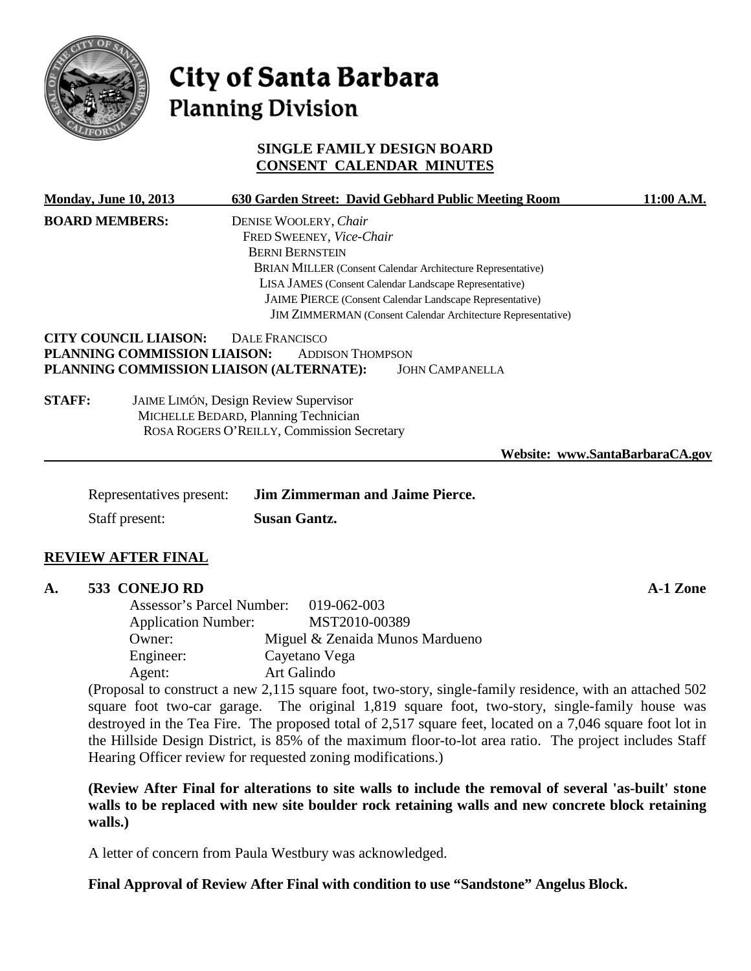

# City of Santa Barbara **Planning Division**

## **SINGLE FAMILY DESIGN BOARD CONSENT CALENDAR MINUTES**

|                                            | <b>Monday, June 10, 2013</b>                                                                             | 630 Garden Street: David Gebhard Public Meeting Room                                                                                                                                               | 11:00 A.M. |
|--------------------------------------------|----------------------------------------------------------------------------------------------------------|----------------------------------------------------------------------------------------------------------------------------------------------------------------------------------------------------|------------|
|                                            | <b>BOARD MEMBERS:</b>                                                                                    | DENISE WOOLERY, Chair<br>FRED SWEENEY, Vice-Chair<br><b>BERNI BERNSTEIN</b><br>BRIAN MILLER (Consent Calendar Architecture Representative)                                                         |            |
|                                            |                                                                                                          | LISA JAMES (Consent Calendar Landscape Representative)                                                                                                                                             |            |
|                                            |                                                                                                          | JAIME PIERCE (Consent Calendar Landscape Representative)                                                                                                                                           |            |
|                                            |                                                                                                          | JIM ZIMMERMAN (Consent Calendar Architecture Representative)                                                                                                                                       |            |
| <b>STAFF:</b>                              | <b>CITY COUNCIL LIAISON:</b><br>PLANNING COMMISSION LIAISON:<br>PLANNING COMMISSION LIAISON (ALTERNATE): | DALE FRANCISCO<br><b>ADDISON THOMPSON</b><br><b>JOHN CAMPANELLA</b><br>JAIME LIMÓN, Design Review Supervisor<br>MICHELLE BEDARD, Planning Technician<br>ROSA ROGERS O'REILLY, Commission Secretary |            |
|                                            |                                                                                                          | Website: www.SantaBarbaraCA.gov                                                                                                                                                                    |            |
| Representatives present:<br>Staff present: |                                                                                                          | <b>Jim Zimmerman and Jaime Pierce.</b>                                                                                                                                                             |            |
|                                            |                                                                                                          | <b>Susan Gantz.</b>                                                                                                                                                                                |            |
|                                            |                                                                                                          |                                                                                                                                                                                                    |            |

## **REVIEW AFTER FINAL**

## **A. 533 CONEJO RD A-1 Zone**

Assessor's Parcel Number: 019-062-003 Application Number: MST2010-00389 Owner: Miguel & Zenaida Munos Mardueno Engineer: Cayetano Vega Agent: Art Galindo

(Proposal to construct a new 2,115 square foot, two-story, single-family residence, with an attached 502 square foot two-car garage. The original 1,819 square foot, two-story, single-family house was destroyed in the Tea Fire. The proposed total of 2,517 square feet, located on a 7,046 square foot lot in the Hillside Design District, is 85% of the maximum floor-to-lot area ratio. The project includes Staff Hearing Officer review for requested zoning modifications.)

**(Review After Final for alterations to site walls to include the removal of several 'as-built' stone walls to be replaced with new site boulder rock retaining walls and new concrete block retaining walls.)**

A letter of concern from Paula Westbury was acknowledged.

**Final Approval of Review After Final with condition to use "Sandstone" Angelus Block.**